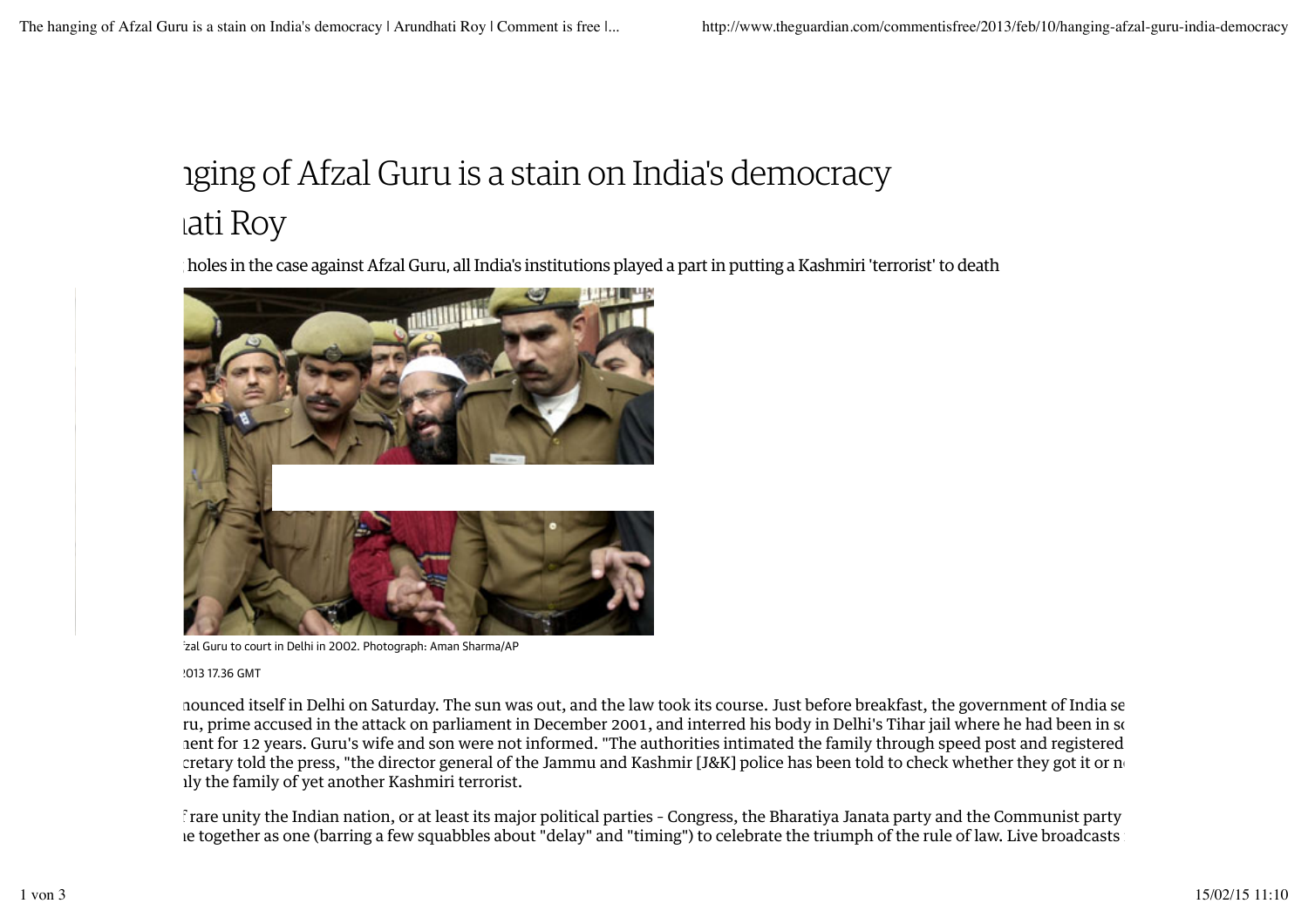## nging of Afzal Guru is a stain on India's democracy lati Roy

holes in the case against Afzal Guru, all India's institutions played a part in putting a Kashmiri 'terrorist' to death



izal Guru to court in Delhi in 2002. Photograph: Aman Sharma/AP

## **2013 17.36 GMT**

nounced itself in Delhi on Saturday. The sun was out, and the law took its course. Just before breakfast, the government of India se ru, prime accused in the attack on parliament in December 2001, and interred his body in Delhi's Tihar jail where he had been in so nent for 12 years. Guru's wife and son were not informed. "The authorities intimated the family through speed post and registered cretary told the press, "the director general of the Jammu and Kashmir [J&K] police has been told to check whether they got it or no  $n$ ly the family of yet another Kashmiri terrorist.

frare unity the Indian nation, or at least its major political parties - Congress, the Bharatiya Janata party and the Communist party (e together as one (barring a few squabbles about "delay" and "timing") to celebrate the triumph of the rule of law. Live broadcasts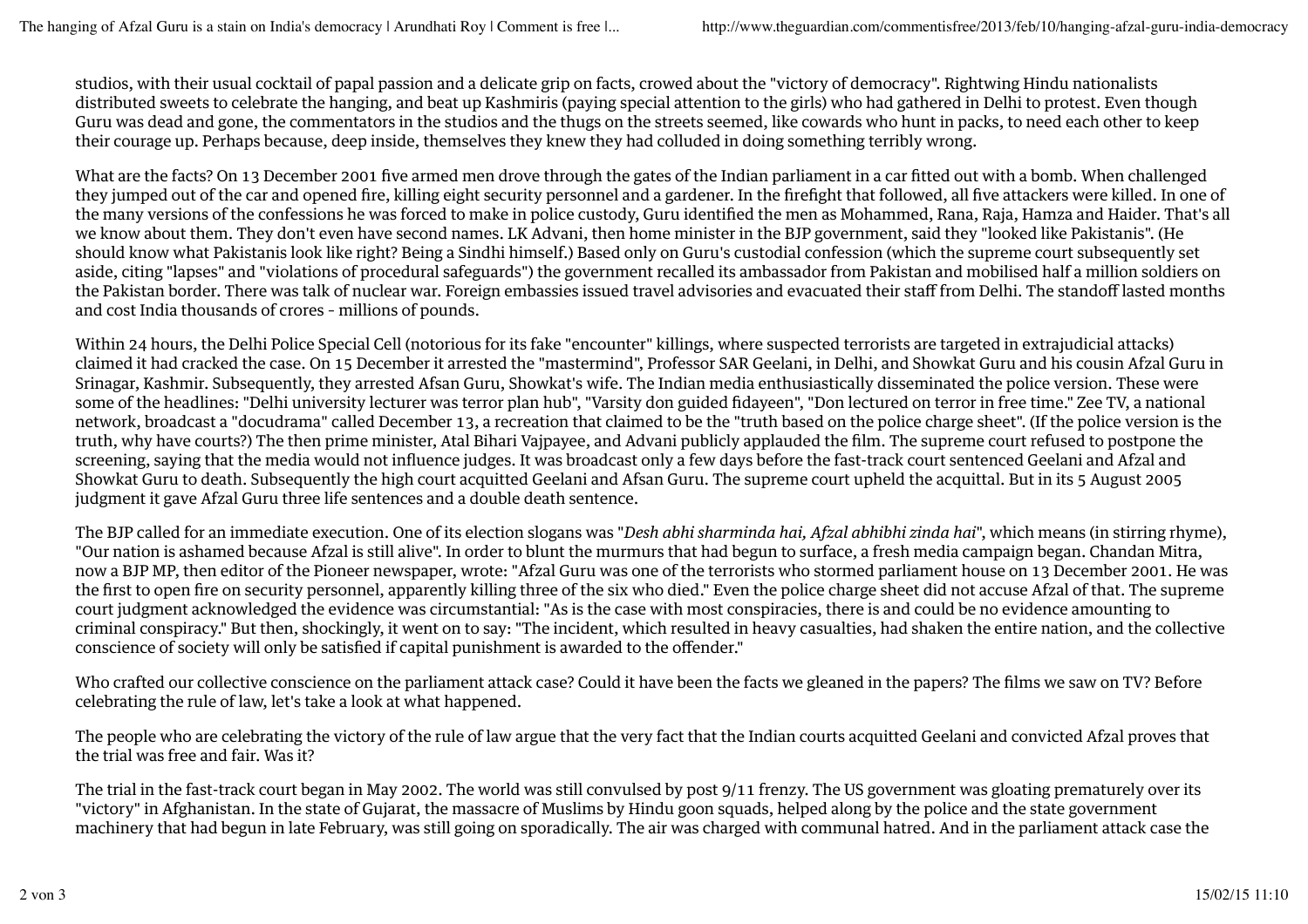studios, with their usual cocktail of papal passion and a delicate grip on facts, crowed about the "victory of democracy". Rightwing Hindu nationalists distributed sweets to celebrate the hanging, and beat up Kashmiris (paying special attention to the girls) who had gathered in Delhi to protest. Even though Guru was dead and gone, the commentators in the studios and the thugs on the streets seemed, like cowards who hunt in packs, to need each other to keep their courage up. Perhaps because, deep inside, themselves they knew they had colluded in doing something terribly wrong.

What are the facts? On 13 December 2001 five armed men drove through the gates of the Indian parliament in a car fitted out with a bomb. When challenged they jumped out of the car and opened fire, killing eight security personnel and a gardener. In the firefight that followed, all five attackers were killed. In one of the many versions of the confessions he was forced to make in police custody, Guru identified the men as Mohammed, Rana, Raja, Hamza and Haider. That's all we know about them. They don't even have second names. LK Advani, then home minister in the BJP government, said they "looked like Pakistanis". (He should know what Pakistanis look like right? Being a Sindhi himself.) Based only on Guru's custodial confession (which the supreme court subsequently set aside, citing "lapses" and "violations of procedural safeguards") the government recalled its ambassador from Pakistan and mobilised half a million soldiers on the Pakistan border. There was talk of nuclear war. Foreign embassies issued travel advisories and evacuated their staff from Delhi. The standoff lasted months and cost India thousands of crores – millions of pounds.

Within 24 hours, the Delhi Police Special Cell (notorious for its fake "encounter" killings, where suspected terrorists are targeted in extrajudicial attacks) claimed it had cracked the case. On 15 December it arrested the "mastermind", Professor SAR Geelani, in Delhi, and Showkat Guru and his cousin Afzal Guru in Srinagar, Kashmir. Subsequently, they arrested Afsan Guru, Showkat's wife. The Indian media enthusiastically disseminated the police version. These were some of the headlines: "Delhi university lecturer was terror plan hub", "Varsity don guided fidayeen", "Don lectured on terror in free time." Zee TV, a national network, broadcast a "docudrama" called December 13, a recreation that claimed to be the "truth based on the police charge sheet". (If the police version is the truth, why have courts?) The then prime minister, Atal Bihari Vajpayee, and Advani publicly applauded the film. The supreme court refused to postpone the screening, saying that the media would not influence judges. It was broadcast only a few days before the fast-track court sentenced Geelani and Afzal and Showkat Guru to death. Subsequently the high court acquitted Geelani and Afsan Guru. The supreme court upheld the acquittal. But in its 5 August 2005 judgment it gave Afzal Guru three life sentences and a double death sentence.

The BJP called for an immediate execution. One of its election slogans was "*Desh abhi sharminda hai, Afzal abhibhi zinda hai*", which means (in stirring rhyme), "Our nation is ashamed because Afzal is still alive". In order to blunt the murmurs that had begun to surface, a fresh media campaign began. Chandan Mitra, now a BJP MP, then editor of the Pioneer newspaper, wrote: "Afzal Guru was one of the terrorists who stormed parliament house on 13 December 2001. He was the first to open fire on security personnel, apparently killing three of the six who died." Even the police charge sheet did not accuse Afzal of that. The supreme court judgment acknowledged the evidence was circumstantial: "As is the case with most conspiracies, there is and could be no evidence amounting to criminal conspiracy." But then, shockingly, it went on to say: "The incident, which resulted in heavy casualties, had shaken the entire nation, and the collective conscience of society will only be satisfied if capital punishment is awarded to the offender."

Who crafted our collective conscience on the parliament attack case? Could it have been the facts we gleaned in the papers? The films we saw on TV? Before celebrating the rule of law, let's take a look at what happened.

The people who are celebrating the victory of the rule of law argue that the very fact that the Indian courts acquitted Geelani and convicted Afzal proves that the trial was free and fair. Was it?

The trial in the fast-track court began in May 2002. The world was still convulsed by post 9/11 frenzy. The US government was gloating prematurely over its "victory" in Afghanistan. In the state of Gujarat, the massacre of Muslims by Hindu goon squads, helped along by the police and the state government machinery that had begun in late February, was still going on sporadically. The air was charged with communal hatred. And in the parliament attack case the